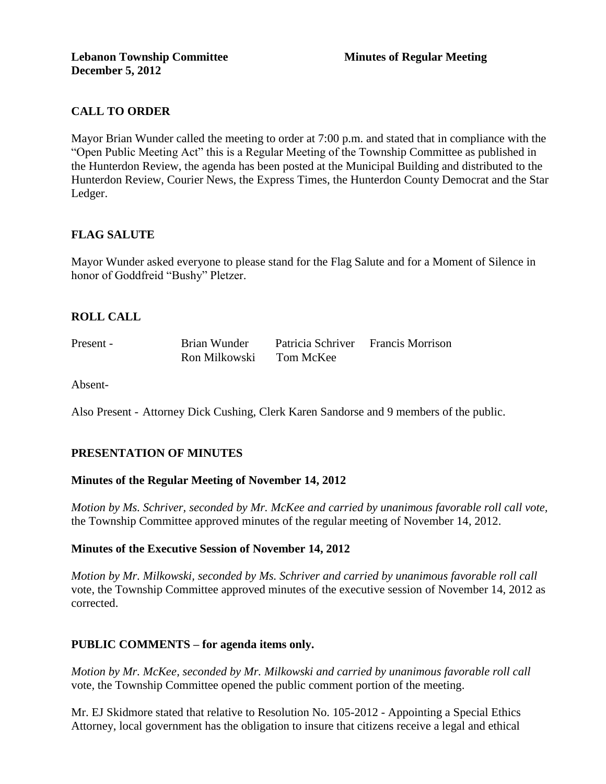## **CALL TO ORDER**

Mayor Brian Wunder called the meeting to order at 7:00 p.m. and stated that in compliance with the "Open Public Meeting Act" this is a Regular Meeting of the Township Committee as published in the Hunterdon Review, the agenda has been posted at the Municipal Building and distributed to the Hunterdon Review, Courier News, the Express Times, the Hunterdon County Democrat and the Star Ledger.

#### **FLAG SALUTE**

Mayor Wunder asked everyone to please stand for the Flag Salute and for a Moment of Silence in honor of Goddfreid "Bushy" Pletzer.

#### **ROLL CALL**

| Present - | Brian Wunder  | Patricia Schriver Francis Morrison |  |
|-----------|---------------|------------------------------------|--|
|           | Ron Milkowski | Tom McKee                          |  |

Absent-

Also Present - Attorney Dick Cushing, Clerk Karen Sandorse and 9 members of the public.

#### **PRESENTATION OF MINUTES**

#### **Minutes of the Regular Meeting of November 14, 2012**

*Motion by Ms. Schriver, seconded by Mr. McKee and carried by unanimous favorable roll call vote,* the Township Committee approved minutes of the regular meeting of November 14, 2012.

#### **Minutes of the Executive Session of November 14, 2012**

*Motion by Mr. Milkowski, seconded by Ms. Schriver and carried by unanimous favorable roll call*  vote, the Township Committee approved minutes of the executive session of November 14, 2012 as corrected.

## **PUBLIC COMMENTS – for agenda items only.**

*Motion by Mr. McKee, seconded by Mr. Milkowski and carried by unanimous favorable roll call*  vote*,* the Township Committee opened the public comment portion of the meeting.

Mr. EJ Skidmore stated that relative to Resolution No. 105-2012 - Appointing a Special Ethics Attorney, local government has the obligation to insure that citizens receive a legal and ethical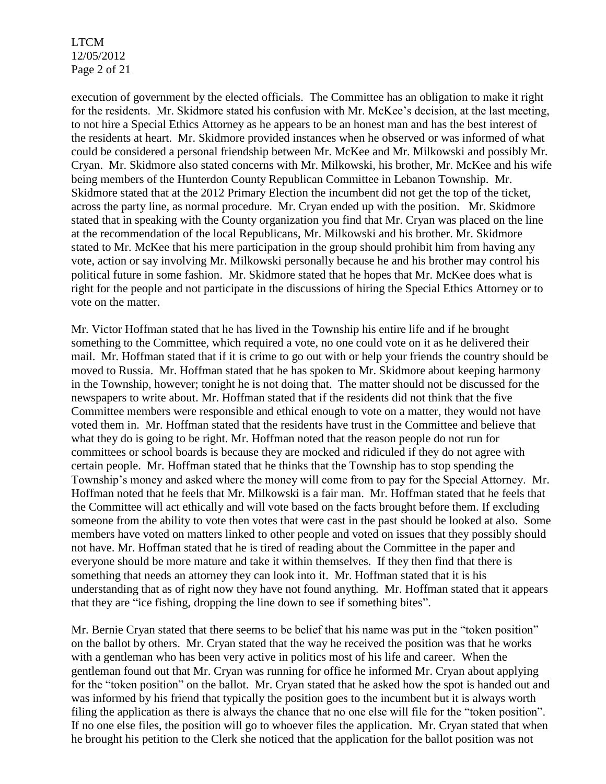LTCM 12/05/2012 Page 2 of 21

execution of government by the elected officials. The Committee has an obligation to make it right for the residents. Mr. Skidmore stated his confusion with Mr. McKee's decision, at the last meeting, to not hire a Special Ethics Attorney as he appears to be an honest man and has the best interest of the residents at heart. Mr. Skidmore provided instances when he observed or was informed of what could be considered a personal friendship between Mr. McKee and Mr. Milkowski and possibly Mr. Cryan. Mr. Skidmore also stated concerns with Mr. Milkowski, his brother, Mr. McKee and his wife being members of the Hunterdon County Republican Committee in Lebanon Township. Mr. Skidmore stated that at the 2012 Primary Election the incumbent did not get the top of the ticket, across the party line, as normal procedure. Mr. Cryan ended up with the position. Mr. Skidmore stated that in speaking with the County organization you find that Mr. Cryan was placed on the line at the recommendation of the local Republicans, Mr. Milkowski and his brother. Mr. Skidmore stated to Mr. McKee that his mere participation in the group should prohibit him from having any vote, action or say involving Mr. Milkowski personally because he and his brother may control his political future in some fashion. Mr. Skidmore stated that he hopes that Mr. McKee does what is right for the people and not participate in the discussions of hiring the Special Ethics Attorney or to vote on the matter.

Mr. Victor Hoffman stated that he has lived in the Township his entire life and if he brought something to the Committee, which required a vote, no one could vote on it as he delivered their mail. Mr. Hoffman stated that if it is crime to go out with or help your friends the country should be moved to Russia. Mr. Hoffman stated that he has spoken to Mr. Skidmore about keeping harmony in the Township, however; tonight he is not doing that. The matter should not be discussed for the newspapers to write about. Mr. Hoffman stated that if the residents did not think that the five Committee members were responsible and ethical enough to vote on a matter, they would not have voted them in. Mr. Hoffman stated that the residents have trust in the Committee and believe that what they do is going to be right. Mr. Hoffman noted that the reason people do not run for committees or school boards is because they are mocked and ridiculed if they do not agree with certain people. Mr. Hoffman stated that he thinks that the Township has to stop spending the Township's money and asked where the money will come from to pay for the Special Attorney. Mr. Hoffman noted that he feels that Mr. Milkowski is a fair man. Mr. Hoffman stated that he feels that the Committee will act ethically and will vote based on the facts brought before them. If excluding someone from the ability to vote then votes that were cast in the past should be looked at also. Some members have voted on matters linked to other people and voted on issues that they possibly should not have. Mr. Hoffman stated that he is tired of reading about the Committee in the paper and everyone should be more mature and take it within themselves. If they then find that there is something that needs an attorney they can look into it. Mr. Hoffman stated that it is his understanding that as of right now they have not found anything. Mr. Hoffman stated that it appears that they are "ice fishing, dropping the line down to see if something bites".

Mr. Bernie Cryan stated that there seems to be belief that his name was put in the "token position" on the ballot by others. Mr. Cryan stated that the way he received the position was that he works with a gentleman who has been very active in politics most of his life and career. When the gentleman found out that Mr. Cryan was running for office he informed Mr. Cryan about applying for the "token position" on the ballot. Mr. Cryan stated that he asked how the spot is handed out and was informed by his friend that typically the position goes to the incumbent but it is always worth filing the application as there is always the chance that no one else will file for the "token position". If no one else files, the position will go to whoever files the application. Mr. Cryan stated that when he brought his petition to the Clerk she noticed that the application for the ballot position was not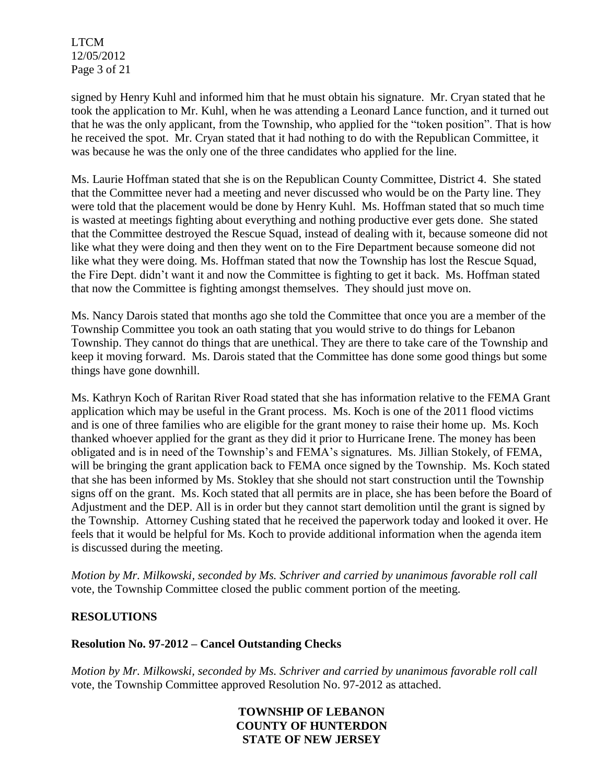LTCM 12/05/2012 Page 3 of 21

signed by Henry Kuhl and informed him that he must obtain his signature. Mr. Cryan stated that he took the application to Mr. Kuhl, when he was attending a Leonard Lance function, and it turned out that he was the only applicant, from the Township, who applied for the "token position". That is how he received the spot. Mr. Cryan stated that it had nothing to do with the Republican Committee, it was because he was the only one of the three candidates who applied for the line.

Ms. Laurie Hoffman stated that she is on the Republican County Committee, District 4. She stated that the Committee never had a meeting and never discussed who would be on the Party line. They were told that the placement would be done by Henry Kuhl. Ms. Hoffman stated that so much time is wasted at meetings fighting about everything and nothing productive ever gets done. She stated that the Committee destroyed the Rescue Squad, instead of dealing with it, because someone did not like what they were doing and then they went on to the Fire Department because someone did not like what they were doing. Ms. Hoffman stated that now the Township has lost the Rescue Squad, the Fire Dept. didn't want it and now the Committee is fighting to get it back. Ms. Hoffman stated that now the Committee is fighting amongst themselves. They should just move on.

Ms. Nancy Darois stated that months ago she told the Committee that once you are a member of the Township Committee you took an oath stating that you would strive to do things for Lebanon Township. They cannot do things that are unethical. They are there to take care of the Township and keep it moving forward. Ms. Darois stated that the Committee has done some good things but some things have gone downhill.

Ms. Kathryn Koch of Raritan River Road stated that she has information relative to the FEMA Grant application which may be useful in the Grant process. Ms. Koch is one of the 2011 flood victims and is one of three families who are eligible for the grant money to raise their home up. Ms. Koch thanked whoever applied for the grant as they did it prior to Hurricane Irene. The money has been obligated and is in need of the Township's and FEMA's signatures. Ms. Jillian Stokely, of FEMA, will be bringing the grant application back to FEMA once signed by the Township. Ms. Koch stated that she has been informed by Ms. Stokley that she should not start construction until the Township signs off on the grant. Ms. Koch stated that all permits are in place, she has been before the Board of Adjustment and the DEP. All is in order but they cannot start demolition until the grant is signed by the Township. Attorney Cushing stated that he received the paperwork today and looked it over. He feels that it would be helpful for Ms. Koch to provide additional information when the agenda item is discussed during the meeting.

*Motion by Mr. Milkowski, seconded by Ms. Schriver and carried by unanimous favorable roll call*  vote*,* the Township Committee closed the public comment portion of the meeting.

#### **RESOLUTIONS**

#### **Resolution No. 97-2012 – Cancel Outstanding Checks**

*Motion by Mr. Milkowski, seconded by Ms. Schriver and carried by unanimous favorable roll call*  vote, the Township Committee approved Resolution No. 97-2012 as attached.

## **TOWNSHIP OF LEBANON COUNTY OF HUNTERDON STATE OF NEW JERSEY**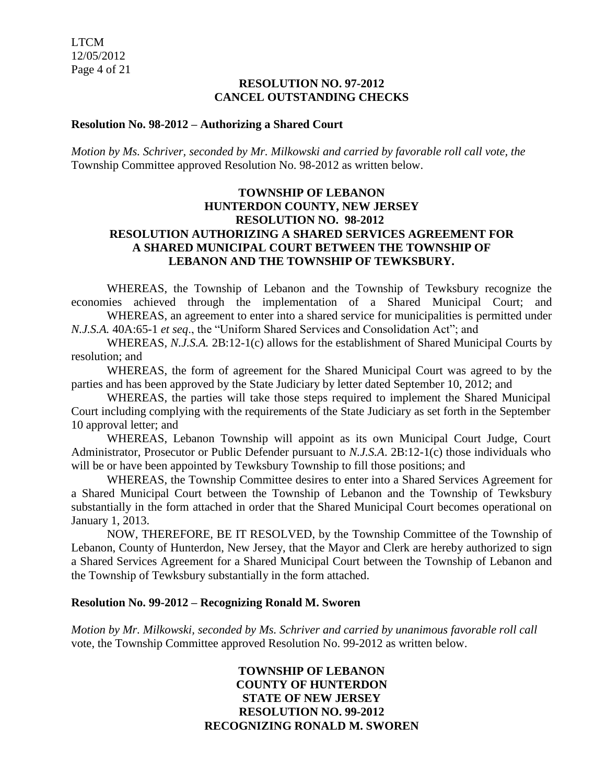#### **RESOLUTION NO. 97-2012 CANCEL OUTSTANDING CHECKS**

#### **Resolution No. 98-2012 – Authorizing a Shared Court**

*Motion by Ms. Schriver, seconded by Mr. Milkowski and carried by favorable roll call vote, the* Township Committee approved Resolution No. 98-2012 as written below.

#### **TOWNSHIP OF LEBANON HUNTERDON COUNTY, NEW JERSEY RESOLUTION NO. 98-2012 RESOLUTION AUTHORIZING A SHARED SERVICES AGREEMENT FOR A SHARED MUNICIPAL COURT BETWEEN THE TOWNSHIP OF LEBANON AND THE TOWNSHIP OF TEWKSBURY.**

WHEREAS, the Township of Lebanon and the Township of Tewksbury recognize the economies achieved through the implementation of a Shared Municipal Court; and WHEREAS, an agreement to enter into a shared service for municipalities is permitted under

*N.J.S.A.* 40A:65-1 *et seq*., the "Uniform Shared Services and Consolidation Act"; and

WHEREAS, *N.J.S.A.* 2B:12-1(c) allows for the establishment of Shared Municipal Courts by resolution; and

WHEREAS, the form of agreement for the Shared Municipal Court was agreed to by the parties and has been approved by the State Judiciary by letter dated September 10, 2012; and

WHEREAS, the parties will take those steps required to implement the Shared Municipal Court including complying with the requirements of the State Judiciary as set forth in the September 10 approval letter; and

WHEREAS, Lebanon Township will appoint as its own Municipal Court Judge, Court Administrator, Prosecutor or Public Defender pursuant to *N.J.S.A*. 2B:12-1(c) those individuals who will be or have been appointed by Tewksbury Township to fill those positions; and

WHEREAS, the Township Committee desires to enter into a Shared Services Agreement for a Shared Municipal Court between the Township of Lebanon and the Township of Tewksbury substantially in the form attached in order that the Shared Municipal Court becomes operational on January 1, 2013.

NOW, THEREFORE, BE IT RESOLVED, by the Township Committee of the Township of Lebanon, County of Hunterdon, New Jersey, that the Mayor and Clerk are hereby authorized to sign a Shared Services Agreement for a Shared Municipal Court between the Township of Lebanon and the Township of Tewksbury substantially in the form attached.

#### **Resolution No. 99-2012 – Recognizing Ronald M. Sworen**

*Motion by Mr. Milkowski, seconded by Ms. Schriver and carried by unanimous favorable roll call*  vote, the Township Committee approved Resolution No. 99-2012 as written below.

## **TOWNSHIP OF LEBANON COUNTY OF HUNTERDON STATE OF NEW JERSEY RESOLUTION NO. 99-2012 RECOGNIZING RONALD M. SWOREN**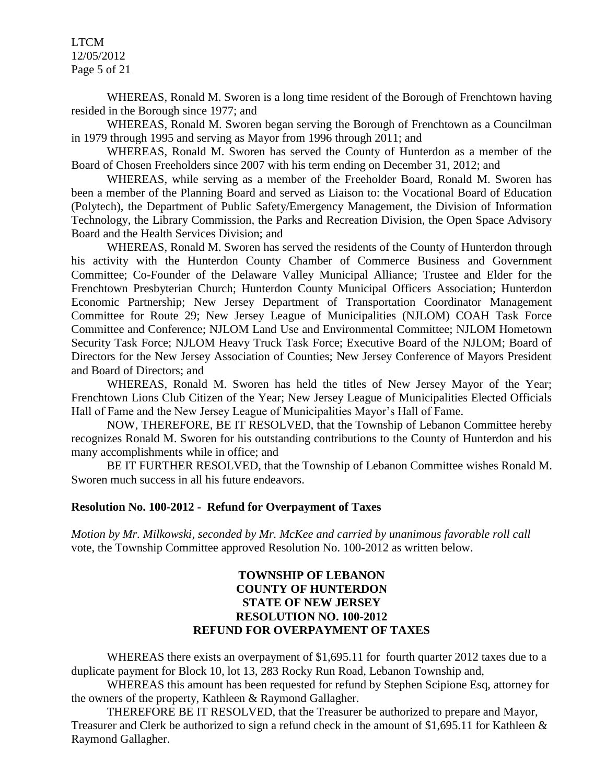LTCM 12/05/2012 Page 5 of 21

WHEREAS, Ronald M. Sworen is a long time resident of the Borough of Frenchtown having resided in the Borough since 1977; and

WHEREAS, Ronald M. Sworen began serving the Borough of Frenchtown as a Councilman in 1979 through 1995 and serving as Mayor from 1996 through 2011; and

WHEREAS, Ronald M. Sworen has served the County of Hunterdon as a member of the Board of Chosen Freeholders since 2007 with his term ending on December 31, 2012; and

WHEREAS, while serving as a member of the Freeholder Board, Ronald M. Sworen has been a member of the Planning Board and served as Liaison to: the Vocational Board of Education (Polytech), the Department of Public Safety/Emergency Management, the Division of Information Technology, the Library Commission, the Parks and Recreation Division, the Open Space Advisory Board and the Health Services Division; and

WHEREAS, Ronald M. Sworen has served the residents of the County of Hunterdon through his activity with the Hunterdon County Chamber of Commerce Business and Government Committee; Co-Founder of the Delaware Valley Municipal Alliance; Trustee and Elder for the Frenchtown Presbyterian Church; Hunterdon County Municipal Officers Association; Hunterdon Economic Partnership; New Jersey Department of Transportation Coordinator Management Committee for Route 29; New Jersey League of Municipalities (NJLOM) COAH Task Force Committee and Conference; NJLOM Land Use and Environmental Committee; NJLOM Hometown Security Task Force; NJLOM Heavy Truck Task Force; Executive Board of the NJLOM; Board of Directors for the New Jersey Association of Counties; New Jersey Conference of Mayors President and Board of Directors; and

WHEREAS, Ronald M. Sworen has held the titles of New Jersey Mayor of the Year; Frenchtown Lions Club Citizen of the Year; New Jersey League of Municipalities Elected Officials Hall of Fame and the New Jersey League of Municipalities Mayor's Hall of Fame.

NOW, THEREFORE, BE IT RESOLVED, that the Township of Lebanon Committee hereby recognizes Ronald M. Sworen for his outstanding contributions to the County of Hunterdon and his many accomplishments while in office; and

BE IT FURTHER RESOLVED, that the Township of Lebanon Committee wishes Ronald M. Sworen much success in all his future endeavors.

#### **Resolution No. 100-2012 - Refund for Overpayment of Taxes**

*Motion by Mr. Milkowski, seconded by Mr. McKee and carried by unanimous favorable roll call*  vote, the Township Committee approved Resolution No. 100-2012 as written below.

#### **TOWNSHIP OF LEBANON COUNTY OF HUNTERDON STATE OF NEW JERSEY RESOLUTION NO. 100-2012 REFUND FOR OVERPAYMENT OF TAXES**

WHEREAS there exists an overpayment of \$1,695.11 for fourth quarter 2012 taxes due to a duplicate payment for Block 10, lot 13, 283 Rocky Run Road, Lebanon Township and,

WHEREAS this amount has been requested for refund by Stephen Scipione Esq, attorney for the owners of the property, Kathleen & Raymond Gallagher.

THEREFORE BE IT RESOLVED, that the Treasurer be authorized to prepare and Mayor, Treasurer and Clerk be authorized to sign a refund check in the amount of \$1,695.11 for Kathleen & Raymond Gallagher.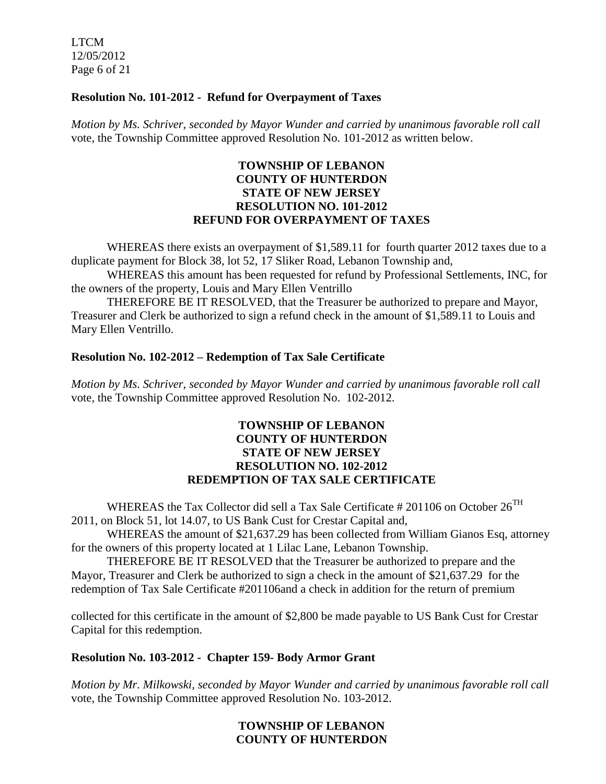LTCM 12/05/2012 Page 6 of 21

#### **Resolution No. 101-2012 - Refund for Overpayment of Taxes**

*Motion by Ms. Schriver, seconded by Mayor Wunder and carried by unanimous favorable roll call*  vote, the Township Committee approved Resolution No. 101-2012 as written below.

#### **TOWNSHIP OF LEBANON COUNTY OF HUNTERDON STATE OF NEW JERSEY RESOLUTION NO. 101-2012 REFUND FOR OVERPAYMENT OF TAXES**

WHEREAS there exists an overpayment of \$1,589.11 for fourth quarter 2012 taxes due to a duplicate payment for Block 38, lot 52, 17 Sliker Road, Lebanon Township and,

WHEREAS this amount has been requested for refund by Professional Settlements, INC, for the owners of the property, Louis and Mary Ellen Ventrillo

THEREFORE BE IT RESOLVED, that the Treasurer be authorized to prepare and Mayor, Treasurer and Clerk be authorized to sign a refund check in the amount of \$1,589.11 to Louis and Mary Ellen Ventrillo.

#### **Resolution No. 102-2012 – Redemption of Tax Sale Certificate**

*Motion by Ms. Schriver, seconded by Mayor Wunder and carried by unanimous favorable roll call*  vote*,* the Township Committee approved Resolution No. 102-2012.

#### **TOWNSHIP OF LEBANON COUNTY OF HUNTERDON STATE OF NEW JERSEY RESOLUTION NO. 102-2012 REDEMPTION OF TAX SALE CERTIFICATE**

WHEREAS the Tax Collector did sell a Tax Sale Certificate # 201106 on October  $26^{TH}$ 2011, on Block 51, lot 14.07, to US Bank Cust for Crestar Capital and,

WHEREAS the amount of \$21,637.29 has been collected from William Gianos Esq, attorney for the owners of this property located at 1 Lilac Lane, Lebanon Township.

THEREFORE BE IT RESOLVED that the Treasurer be authorized to prepare and the Mayor, Treasurer and Clerk be authorized to sign a check in the amount of \$21,637.29 for the redemption of Tax Sale Certificate #201106and a check in addition for the return of premium

collected for this certificate in the amount of \$2,800 be made payable to US Bank Cust for Crestar Capital for this redemption.

#### **Resolution No. 103-2012 - Chapter 159- Body Armor Grant**

*Motion by Mr. Milkowski, seconded by Mayor Wunder and carried by unanimous favorable roll call*  vote*,* the Township Committee approved Resolution No. 103-2012.

#### **TOWNSHIP OF LEBANON COUNTY OF HUNTERDON**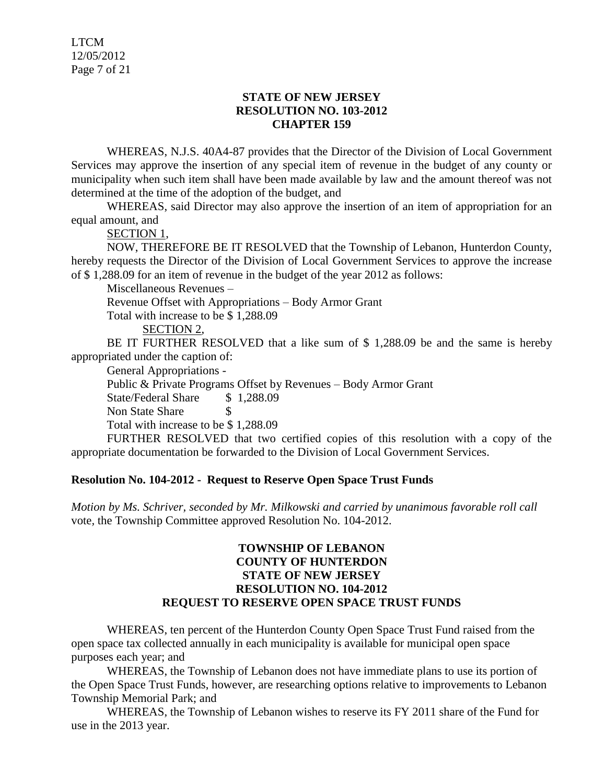#### **STATE OF NEW JERSEY RESOLUTION NO. 103-2012 CHAPTER 159**

WHEREAS, N.J.S. 40A4-87 provides that the Director of the Division of Local Government Services may approve the insertion of any special item of revenue in the budget of any county or municipality when such item shall have been made available by law and the amount thereof was not determined at the time of the adoption of the budget, and

WHEREAS, said Director may also approve the insertion of an item of appropriation for an equal amount, and

SECTION 1,

NOW, THEREFORE BE IT RESOLVED that the Township of Lebanon, Hunterdon County, hereby requests the Director of the Division of Local Government Services to approve the increase of \$ 1,288.09 for an item of revenue in the budget of the year 2012 as follows:

Miscellaneous Revenues –

Revenue Offset with Appropriations – Body Armor Grant

Total with increase to be \$ 1,288.09

SECTION 2,

BE IT FURTHER RESOLVED that a like sum of \$ 1,288.09 be and the same is hereby appropriated under the caption of:

General Appropriations -

Public & Private Programs Offset by Revenues – Body Armor Grant

State/Federal Share \$ 1,288.09

Non State Share \$

Total with increase to be \$ 1,288.09

FURTHER RESOLVED that two certified copies of this resolution with a copy of the appropriate documentation be forwarded to the Division of Local Government Services.

## **Resolution No. 104-2012 - Request to Reserve Open Space Trust Funds**

*Motion by Ms. Schriver, seconded by Mr. Milkowski and carried by unanimous favorable roll call*  vote*,* the Township Committee approved Resolution No. 104-2012.

#### **TOWNSHIP OF LEBANON COUNTY OF HUNTERDON STATE OF NEW JERSEY RESOLUTION NO. 104-2012 REQUEST TO RESERVE OPEN SPACE TRUST FUNDS**

WHEREAS, ten percent of the Hunterdon County Open Space Trust Fund raised from the open space tax collected annually in each municipality is available for municipal open space purposes each year; and

WHEREAS, the Township of Lebanon does not have immediate plans to use its portion of the Open Space Trust Funds, however, are researching options relative to improvements to Lebanon Township Memorial Park; and

WHEREAS, the Township of Lebanon wishes to reserve its FY 2011 share of the Fund for use in the 2013 year.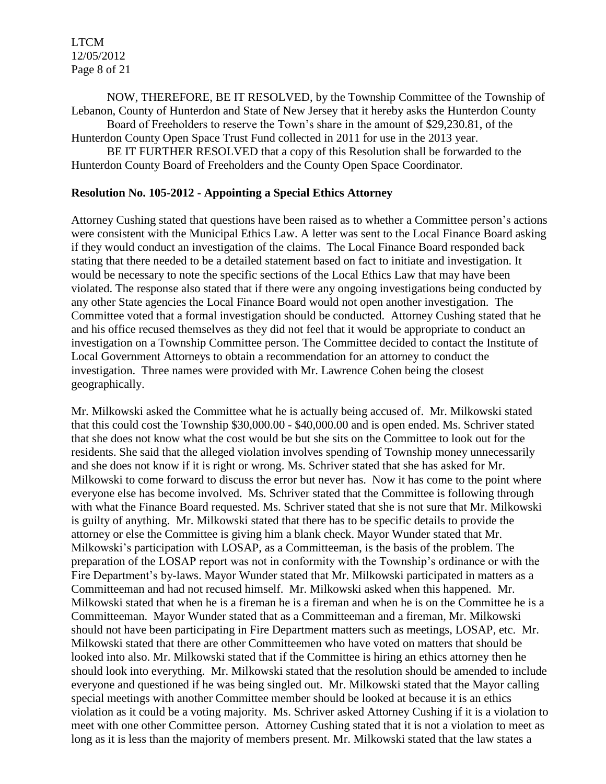LTCM 12/05/2012 Page 8 of 21

NOW, THEREFORE, BE IT RESOLVED, by the Township Committee of the Township of Lebanon, County of Hunterdon and State of New Jersey that it hereby asks the Hunterdon County

Board of Freeholders to reserve the Town's share in the amount of \$29,230.81, of the Hunterdon County Open Space Trust Fund collected in 2011 for use in the 2013 year.

BE IT FURTHER RESOLVED that a copy of this Resolution shall be forwarded to the Hunterdon County Board of Freeholders and the County Open Space Coordinator.

#### **Resolution No. 105-2012 - Appointing a Special Ethics Attorney**

Attorney Cushing stated that questions have been raised as to whether a Committee person's actions were consistent with the Municipal Ethics Law. A letter was sent to the Local Finance Board asking if they would conduct an investigation of the claims. The Local Finance Board responded back stating that there needed to be a detailed statement based on fact to initiate and investigation. It would be necessary to note the specific sections of the Local Ethics Law that may have been violated. The response also stated that if there were any ongoing investigations being conducted by any other State agencies the Local Finance Board would not open another investigation. The Committee voted that a formal investigation should be conducted. Attorney Cushing stated that he and his office recused themselves as they did not feel that it would be appropriate to conduct an investigation on a Township Committee person. The Committee decided to contact the Institute of Local Government Attorneys to obtain a recommendation for an attorney to conduct the investigation. Three names were provided with Mr. Lawrence Cohen being the closest geographically.

Mr. Milkowski asked the Committee what he is actually being accused of. Mr. Milkowski stated that this could cost the Township \$30,000.00 - \$40,000.00 and is open ended. Ms. Schriver stated that she does not know what the cost would be but she sits on the Committee to look out for the residents. She said that the alleged violation involves spending of Township money unnecessarily and she does not know if it is right or wrong. Ms. Schriver stated that she has asked for Mr. Milkowski to come forward to discuss the error but never has. Now it has come to the point where everyone else has become involved. Ms. Schriver stated that the Committee is following through with what the Finance Board requested. Ms. Schriver stated that she is not sure that Mr. Milkowski is guilty of anything. Mr. Milkowski stated that there has to be specific details to provide the attorney or else the Committee is giving him a blank check. Mayor Wunder stated that Mr. Milkowski's participation with LOSAP, as a Committeeman, is the basis of the problem. The preparation of the LOSAP report was not in conformity with the Township's ordinance or with the Fire Department's by-laws. Mayor Wunder stated that Mr. Milkowski participated in matters as a Committeeman and had not recused himself. Mr. Milkowski asked when this happened. Mr. Milkowski stated that when he is a fireman he is a fireman and when he is on the Committee he is a Committeeman. Mayor Wunder stated that as a Committeeman and a fireman, Mr. Milkowski should not have been participating in Fire Department matters such as meetings, LOSAP, etc. Mr. Milkowski stated that there are other Committeemen who have voted on matters that should be looked into also. Mr. Milkowski stated that if the Committee is hiring an ethics attorney then he should look into everything. Mr. Milkowski stated that the resolution should be amended to include everyone and questioned if he was being singled out. Mr. Milkowski stated that the Mayor calling special meetings with another Committee member should be looked at because it is an ethics violation as it could be a voting majority. Ms. Schriver asked Attorney Cushing if it is a violation to meet with one other Committee person. Attorney Cushing stated that it is not a violation to meet as long as it is less than the majority of members present. Mr. Milkowski stated that the law states a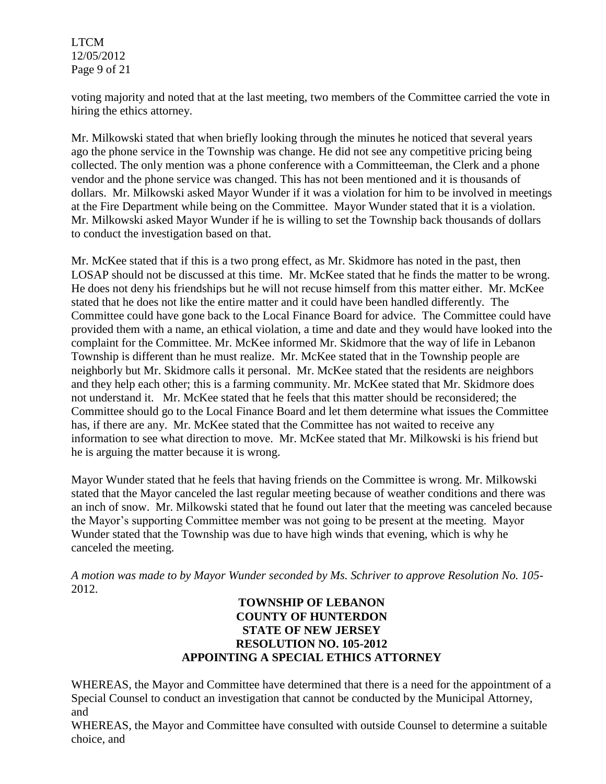LTCM 12/05/2012 Page 9 of 21

voting majority and noted that at the last meeting, two members of the Committee carried the vote in hiring the ethics attorney.

Mr. Milkowski stated that when briefly looking through the minutes he noticed that several years ago the phone service in the Township was change. He did not see any competitive pricing being collected. The only mention was a phone conference with a Committeeman, the Clerk and a phone vendor and the phone service was changed. This has not been mentioned and it is thousands of dollars. Mr. Milkowski asked Mayor Wunder if it was a violation for him to be involved in meetings at the Fire Department while being on the Committee. Mayor Wunder stated that it is a violation. Mr. Milkowski asked Mayor Wunder if he is willing to set the Township back thousands of dollars to conduct the investigation based on that.

Mr. McKee stated that if this is a two prong effect, as Mr. Skidmore has noted in the past, then LOSAP should not be discussed at this time. Mr. McKee stated that he finds the matter to be wrong. He does not deny his friendships but he will not recuse himself from this matter either. Mr. McKee stated that he does not like the entire matter and it could have been handled differently. The Committee could have gone back to the Local Finance Board for advice. The Committee could have provided them with a name, an ethical violation, a time and date and they would have looked into the complaint for the Committee. Mr. McKee informed Mr. Skidmore that the way of life in Lebanon Township is different than he must realize. Mr. McKee stated that in the Township people are neighborly but Mr. Skidmore calls it personal. Mr. McKee stated that the residents are neighbors and they help each other; this is a farming community. Mr. McKee stated that Mr. Skidmore does not understand it. Mr. McKee stated that he feels that this matter should be reconsidered; the Committee should go to the Local Finance Board and let them determine what issues the Committee has, if there are any. Mr. McKee stated that the Committee has not waited to receive any information to see what direction to move. Mr. McKee stated that Mr. Milkowski is his friend but he is arguing the matter because it is wrong.

Mayor Wunder stated that he feels that having friends on the Committee is wrong. Mr. Milkowski stated that the Mayor canceled the last regular meeting because of weather conditions and there was an inch of snow. Mr. Milkowski stated that he found out later that the meeting was canceled because the Mayor's supporting Committee member was not going to be present at the meeting. Mayor Wunder stated that the Township was due to have high winds that evening, which is why he canceled the meeting.

*A motion was made to by Mayor Wunder seconded by Ms. Schriver to approve Resolution No. 105-* 2012.

### **TOWNSHIP OF LEBANON COUNTY OF HUNTERDON STATE OF NEW JERSEY RESOLUTION NO. 105-2012 APPOINTING A SPECIAL ETHICS ATTORNEY**

WHEREAS, the Mayor and Committee have determined that there is a need for the appointment of a Special Counsel to conduct an investigation that cannot be conducted by the Municipal Attorney, and

WHEREAS, the Mayor and Committee have consulted with outside Counsel to determine a suitable choice, and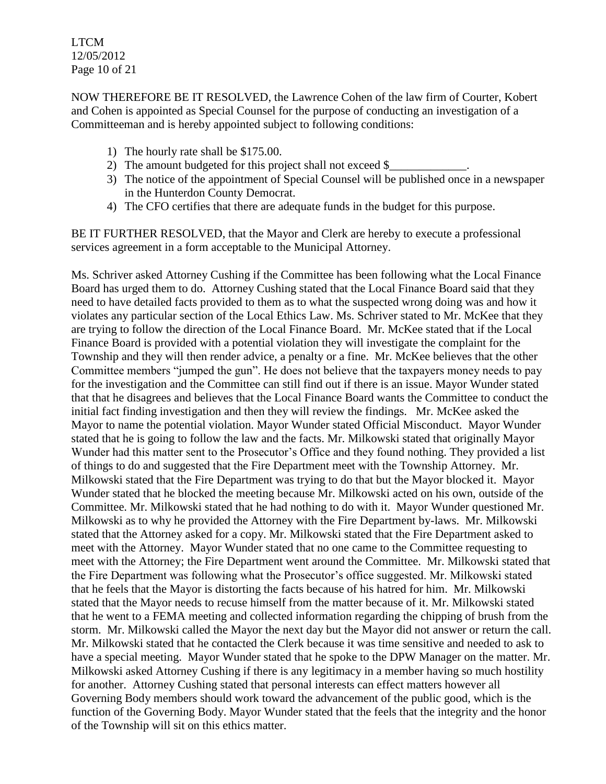LTCM 12/05/2012 Page 10 of 21

NOW THEREFORE BE IT RESOLVED, the Lawrence Cohen of the law firm of Courter, Kobert and Cohen is appointed as Special Counsel for the purpose of conducting an investigation of a Committeeman and is hereby appointed subject to following conditions:

- 1) The hourly rate shall be \$175.00.
- 2) The amount budgeted for this project shall not exceed \$
- 3) The notice of the appointment of Special Counsel will be published once in a newspaper in the Hunterdon County Democrat.
- 4) The CFO certifies that there are adequate funds in the budget for this purpose.

BE IT FURTHER RESOLVED, that the Mayor and Clerk are hereby to execute a professional services agreement in a form acceptable to the Municipal Attorney.

Ms. Schriver asked Attorney Cushing if the Committee has been following what the Local Finance Board has urged them to do. Attorney Cushing stated that the Local Finance Board said that they need to have detailed facts provided to them as to what the suspected wrong doing was and how it violates any particular section of the Local Ethics Law. Ms. Schriver stated to Mr. McKee that they are trying to follow the direction of the Local Finance Board. Mr. McKee stated that if the Local Finance Board is provided with a potential violation they will investigate the complaint for the Township and they will then render advice, a penalty or a fine. Mr. McKee believes that the other Committee members "jumped the gun". He does not believe that the taxpayers money needs to pay for the investigation and the Committee can still find out if there is an issue. Mayor Wunder stated that that he disagrees and believes that the Local Finance Board wants the Committee to conduct the initial fact finding investigation and then they will review the findings. Mr. McKee asked the Mayor to name the potential violation. Mayor Wunder stated Official Misconduct. Mayor Wunder stated that he is going to follow the law and the facts. Mr. Milkowski stated that originally Mayor Wunder had this matter sent to the Prosecutor's Office and they found nothing. They provided a list of things to do and suggested that the Fire Department meet with the Township Attorney. Mr. Milkowski stated that the Fire Department was trying to do that but the Mayor blocked it. Mayor Wunder stated that he blocked the meeting because Mr. Milkowski acted on his own, outside of the Committee. Mr. Milkowski stated that he had nothing to do with it. Mayor Wunder questioned Mr. Milkowski as to why he provided the Attorney with the Fire Department by-laws. Mr. Milkowski stated that the Attorney asked for a copy. Mr. Milkowski stated that the Fire Department asked to meet with the Attorney. Mayor Wunder stated that no one came to the Committee requesting to meet with the Attorney; the Fire Department went around the Committee. Mr. Milkowski stated that the Fire Department was following what the Prosecutor's office suggested. Mr. Milkowski stated that he feels that the Mayor is distorting the facts because of his hatred for him. Mr. Milkowski stated that the Mayor needs to recuse himself from the matter because of it. Mr. Milkowski stated that he went to a FEMA meeting and collected information regarding the chipping of brush from the storm. Mr. Milkowski called the Mayor the next day but the Mayor did not answer or return the call. Mr. Milkowski stated that he contacted the Clerk because it was time sensitive and needed to ask to have a special meeting. Mayor Wunder stated that he spoke to the DPW Manager on the matter. Mr. Milkowski asked Attorney Cushing if there is any legitimacy in a member having so much hostility for another. Attorney Cushing stated that personal interests can effect matters however all Governing Body members should work toward the advancement of the public good, which is the function of the Governing Body. Mayor Wunder stated that the feels that the integrity and the honor of the Township will sit on this ethics matter.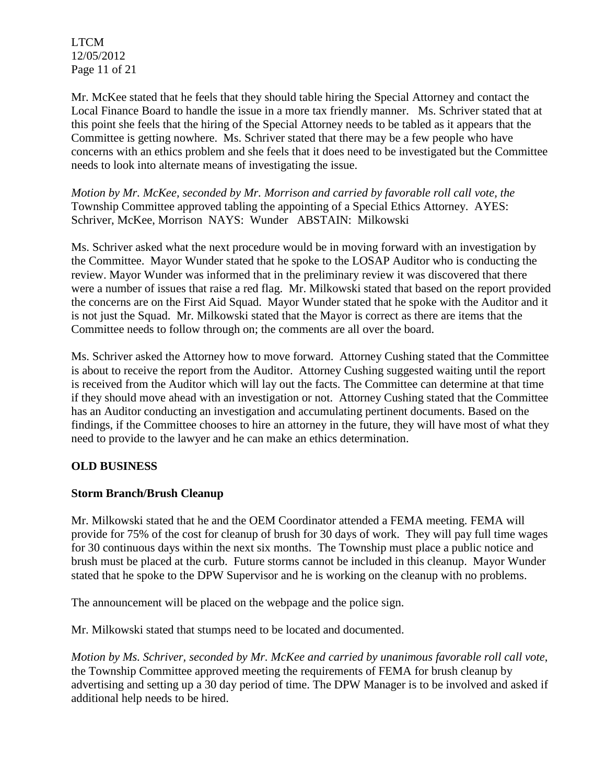LTCM 12/05/2012 Page 11 of 21

Mr. McKee stated that he feels that they should table hiring the Special Attorney and contact the Local Finance Board to handle the issue in a more tax friendly manner. Ms. Schriver stated that at this point she feels that the hiring of the Special Attorney needs to be tabled as it appears that the Committee is getting nowhere. Ms. Schriver stated that there may be a few people who have concerns with an ethics problem and she feels that it does need to be investigated but the Committee needs to look into alternate means of investigating the issue.

*Motion by Mr. McKee, seconded by Mr. Morrison and carried by favorable roll call vote, the* Township Committee approved tabling the appointing of a Special Ethics Attorney. AYES: Schriver, McKee, Morrison NAYS: Wunder ABSTAIN: Milkowski

Ms. Schriver asked what the next procedure would be in moving forward with an investigation by the Committee. Mayor Wunder stated that he spoke to the LOSAP Auditor who is conducting the review. Mayor Wunder was informed that in the preliminary review it was discovered that there were a number of issues that raise a red flag. Mr. Milkowski stated that based on the report provided the concerns are on the First Aid Squad. Mayor Wunder stated that he spoke with the Auditor and it is not just the Squad. Mr. Milkowski stated that the Mayor is correct as there are items that the Committee needs to follow through on; the comments are all over the board.

Ms. Schriver asked the Attorney how to move forward. Attorney Cushing stated that the Committee is about to receive the report from the Auditor. Attorney Cushing suggested waiting until the report is received from the Auditor which will lay out the facts. The Committee can determine at that time if they should move ahead with an investigation or not. Attorney Cushing stated that the Committee has an Auditor conducting an investigation and accumulating pertinent documents. Based on the findings, if the Committee chooses to hire an attorney in the future, they will have most of what they need to provide to the lawyer and he can make an ethics determination.

## **OLD BUSINESS**

## **Storm Branch/Brush Cleanup**

Mr. Milkowski stated that he and the OEM Coordinator attended a FEMA meeting. FEMA will provide for 75% of the cost for cleanup of brush for 30 days of work. They will pay full time wages for 30 continuous days within the next six months. The Township must place a public notice and brush must be placed at the curb. Future storms cannot be included in this cleanup. Mayor Wunder stated that he spoke to the DPW Supervisor and he is working on the cleanup with no problems.

The announcement will be placed on the webpage and the police sign.

Mr. Milkowski stated that stumps need to be located and documented.

*Motion by Ms. Schriver, seconded by Mr. McKee and carried by unanimous favorable roll call vote*, the Township Committee approved meeting the requirements of FEMA for brush cleanup by advertising and setting up a 30 day period of time. The DPW Manager is to be involved and asked if additional help needs to be hired.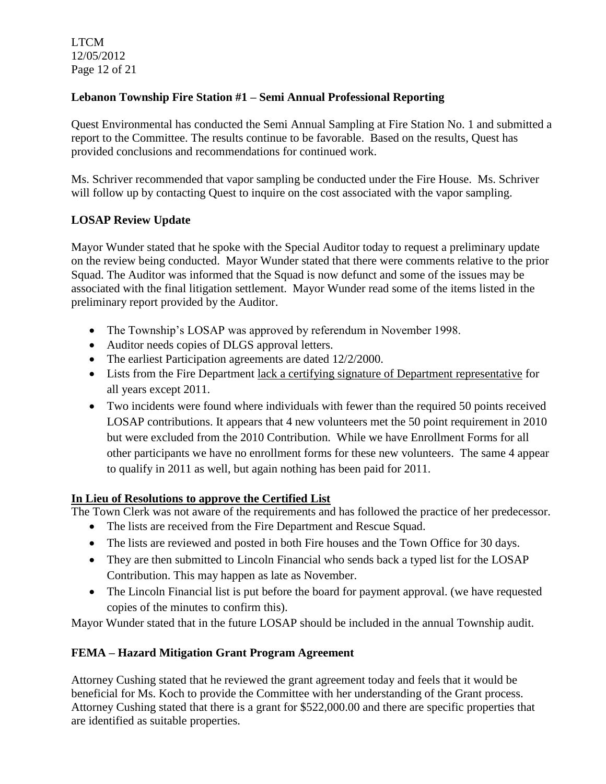LTCM 12/05/2012 Page 12 of 21

# **Lebanon Township Fire Station #1 – Semi Annual Professional Reporting**

Quest Environmental has conducted the Semi Annual Sampling at Fire Station No. 1 and submitted a report to the Committee. The results continue to be favorable. Based on the results, Quest has provided conclusions and recommendations for continued work.

Ms. Schriver recommended that vapor sampling be conducted under the Fire House. Ms. Schriver will follow up by contacting Quest to inquire on the cost associated with the vapor sampling.

# **LOSAP Review Update**

Mayor Wunder stated that he spoke with the Special Auditor today to request a preliminary update on the review being conducted. Mayor Wunder stated that there were comments relative to the prior Squad. The Auditor was informed that the Squad is now defunct and some of the issues may be associated with the final litigation settlement. Mayor Wunder read some of the items listed in the preliminary report provided by the Auditor.

- The Township's LOSAP was approved by referendum in November 1998.
- Auditor needs copies of DLGS approval letters.
- The earliest Participation agreements are dated 12/2/2000.
- Lists from the Fire Department lack a certifying signature of Department representative for all years except 2011.
- Two incidents were found where individuals with fewer than the required 50 points received LOSAP contributions. It appears that 4 new volunteers met the 50 point requirement in 2010 but were excluded from the 2010 Contribution. While we have Enrollment Forms for all other participants we have no enrollment forms for these new volunteers. The same 4 appear to qualify in 2011 as well, but again nothing has been paid for 2011.

# **In Lieu of Resolutions to approve the Certified List**

The Town Clerk was not aware of the requirements and has followed the practice of her predecessor.

- The lists are received from the Fire Department and Rescue Squad.
- The lists are reviewed and posted in both Fire houses and the Town Office for 30 days.
- They are then submitted to Lincoln Financial who sends back a typed list for the LOSAP Contribution. This may happen as late as November.
- The Lincoln Financial list is put before the board for payment approval. (we have requested copies of the minutes to confirm this).

Mayor Wunder stated that in the future LOSAP should be included in the annual Township audit.

## **FEMA – Hazard Mitigation Grant Program Agreement**

Attorney Cushing stated that he reviewed the grant agreement today and feels that it would be beneficial for Ms. Koch to provide the Committee with her understanding of the Grant process. Attorney Cushing stated that there is a grant for \$522,000.00 and there are specific properties that are identified as suitable properties.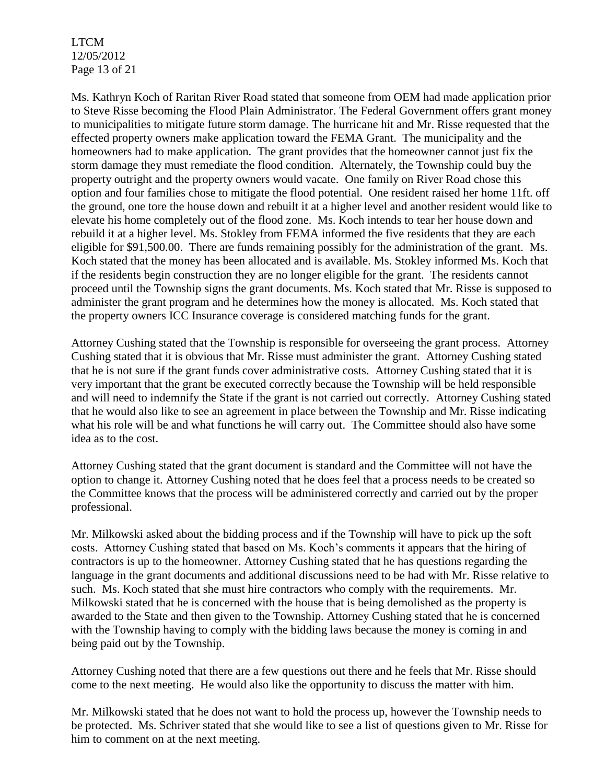LTCM 12/05/2012 Page 13 of 21

Ms. Kathryn Koch of Raritan River Road stated that someone from OEM had made application prior to Steve Risse becoming the Flood Plain Administrator. The Federal Government offers grant money to municipalities to mitigate future storm damage. The hurricane hit and Mr. Risse requested that the effected property owners make application toward the FEMA Grant. The municipality and the homeowners had to make application. The grant provides that the homeowner cannot just fix the storm damage they must remediate the flood condition. Alternately, the Township could buy the property outright and the property owners would vacate. One family on River Road chose this option and four families chose to mitigate the flood potential. One resident raised her home 11ft. off the ground, one tore the house down and rebuilt it at a higher level and another resident would like to elevate his home completely out of the flood zone. Ms. Koch intends to tear her house down and rebuild it at a higher level. Ms. Stokley from FEMA informed the five residents that they are each eligible for \$91,500.00. There are funds remaining possibly for the administration of the grant. Ms. Koch stated that the money has been allocated and is available. Ms. Stokley informed Ms. Koch that if the residents begin construction they are no longer eligible for the grant. The residents cannot proceed until the Township signs the grant documents. Ms. Koch stated that Mr. Risse is supposed to administer the grant program and he determines how the money is allocated. Ms. Koch stated that the property owners ICC Insurance coverage is considered matching funds for the grant.

Attorney Cushing stated that the Township is responsible for overseeing the grant process. Attorney Cushing stated that it is obvious that Mr. Risse must administer the grant. Attorney Cushing stated that he is not sure if the grant funds cover administrative costs. Attorney Cushing stated that it is very important that the grant be executed correctly because the Township will be held responsible and will need to indemnify the State if the grant is not carried out correctly. Attorney Cushing stated that he would also like to see an agreement in place between the Township and Mr. Risse indicating what his role will be and what functions he will carry out. The Committee should also have some idea as to the cost.

Attorney Cushing stated that the grant document is standard and the Committee will not have the option to change it. Attorney Cushing noted that he does feel that a process needs to be created so the Committee knows that the process will be administered correctly and carried out by the proper professional.

Mr. Milkowski asked about the bidding process and if the Township will have to pick up the soft costs. Attorney Cushing stated that based on Ms. Koch's comments it appears that the hiring of contractors is up to the homeowner. Attorney Cushing stated that he has questions regarding the language in the grant documents and additional discussions need to be had with Mr. Risse relative to such. Ms. Koch stated that she must hire contractors who comply with the requirements. Mr. Milkowski stated that he is concerned with the house that is being demolished as the property is awarded to the State and then given to the Township. Attorney Cushing stated that he is concerned with the Township having to comply with the bidding laws because the money is coming in and being paid out by the Township.

Attorney Cushing noted that there are a few questions out there and he feels that Mr. Risse should come to the next meeting. He would also like the opportunity to discuss the matter with him.

Mr. Milkowski stated that he does not want to hold the process up, however the Township needs to be protected. Ms. Schriver stated that she would like to see a list of questions given to Mr. Risse for him to comment on at the next meeting.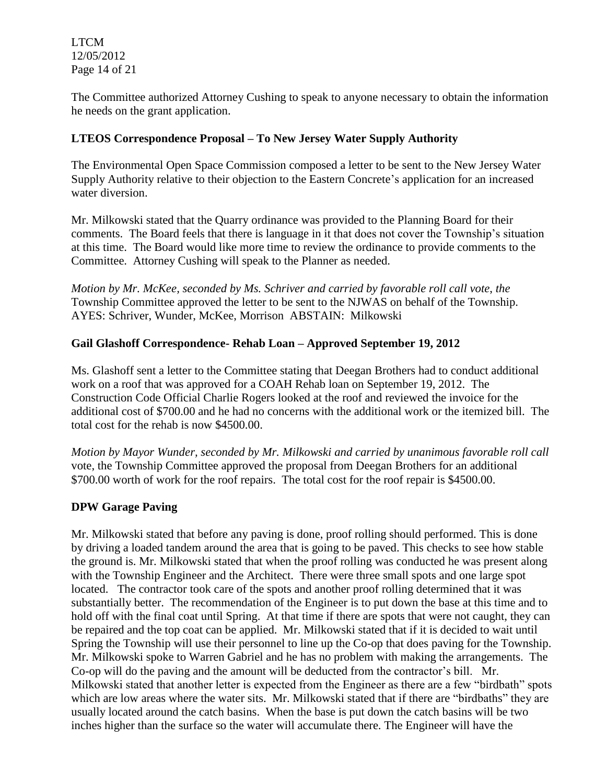LTCM 12/05/2012 Page 14 of 21

The Committee authorized Attorney Cushing to speak to anyone necessary to obtain the information he needs on the grant application.

## **LTEOS Correspondence Proposal – To New Jersey Water Supply Authority**

The Environmental Open Space Commission composed a letter to be sent to the New Jersey Water Supply Authority relative to their objection to the Eastern Concrete's application for an increased water diversion.

Mr. Milkowski stated that the Quarry ordinance was provided to the Planning Board for their comments. The Board feels that there is language in it that does not cover the Township's situation at this time. The Board would like more time to review the ordinance to provide comments to the Committee. Attorney Cushing will speak to the Planner as needed.

*Motion by Mr. McKee, seconded by Ms. Schriver and carried by favorable roll call vote*, *the* Township Committee approved the letter to be sent to the NJWAS on behalf of the Township. AYES: Schriver, Wunder, McKee, Morrison ABSTAIN: Milkowski

## **Gail Glashoff Correspondence- Rehab Loan – Approved September 19, 2012**

Ms. Glashoff sent a letter to the Committee stating that Deegan Brothers had to conduct additional work on a roof that was approved for a COAH Rehab loan on September 19, 2012. The Construction Code Official Charlie Rogers looked at the roof and reviewed the invoice for the additional cost of \$700.00 and he had no concerns with the additional work or the itemized bill. The total cost for the rehab is now \$4500.00.

*Motion by Mayor Wunder, seconded by Mr. Milkowski and carried by unanimous favorable roll call*  vote, the Township Committee approved the proposal from Deegan Brothers for an additional \$700.00 worth of work for the roof repairs. The total cost for the roof repair is \$4500.00.

## **DPW Garage Paving**

Mr. Milkowski stated that before any paving is done, proof rolling should performed. This is done by driving a loaded tandem around the area that is going to be paved. This checks to see how stable the ground is. Mr. Milkowski stated that when the proof rolling was conducted he was present along with the Township Engineer and the Architect. There were three small spots and one large spot located. The contractor took care of the spots and another proof rolling determined that it was substantially better. The recommendation of the Engineer is to put down the base at this time and to hold off with the final coat until Spring. At that time if there are spots that were not caught, they can be repaired and the top coat can be applied. Mr. Milkowski stated that if it is decided to wait until Spring the Township will use their personnel to line up the Co-op that does paving for the Township. Mr. Milkowski spoke to Warren Gabriel and he has no problem with making the arrangements. The Co-op will do the paving and the amount will be deducted from the contractor's bill. Mr. Milkowski stated that another letter is expected from the Engineer as there are a few "birdbath" spots which are low areas where the water sits. Mr. Milkowski stated that if there are "birdbaths" they are usually located around the catch basins. When the base is put down the catch basins will be two inches higher than the surface so the water will accumulate there. The Engineer will have the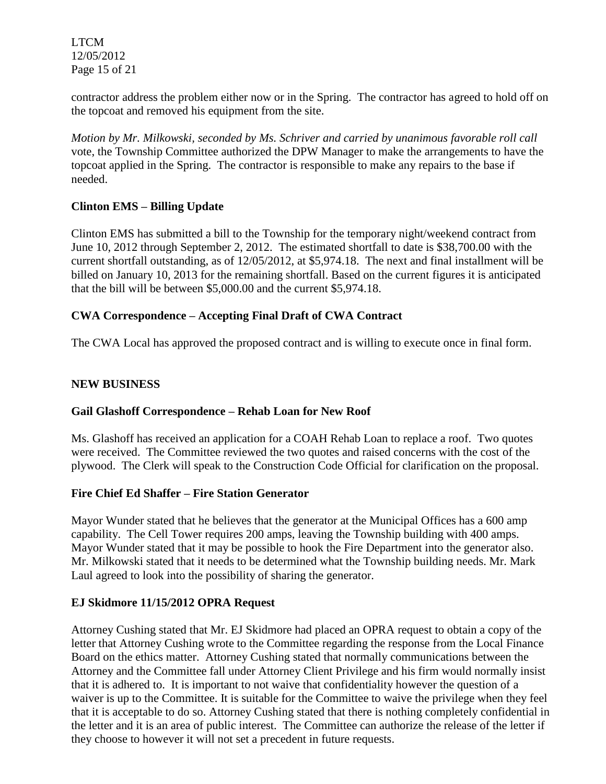LTCM 12/05/2012 Page 15 of 21

contractor address the problem either now or in the Spring. The contractor has agreed to hold off on the topcoat and removed his equipment from the site.

*Motion by Mr. Milkowski, seconded by Ms. Schriver and carried by unanimous favorable roll call*  vote, the Township Committee authorized the DPW Manager to make the arrangements to have the topcoat applied in the Spring. The contractor is responsible to make any repairs to the base if needed.

## **Clinton EMS – Billing Update**

Clinton EMS has submitted a bill to the Township for the temporary night/weekend contract from June 10, 2012 through September 2, 2012. The estimated shortfall to date is \$38,700.00 with the current shortfall outstanding, as of 12/05/2012, at \$5,974.18. The next and final installment will be billed on January 10, 2013 for the remaining shortfall. Based on the current figures it is anticipated that the bill will be between \$5,000.00 and the current \$5,974.18.

## **CWA Correspondence – Accepting Final Draft of CWA Contract**

The CWA Local has approved the proposed contract and is willing to execute once in final form.

## **NEW BUSINESS**

## **Gail Glashoff Correspondence – Rehab Loan for New Roof**

Ms. Glashoff has received an application for a COAH Rehab Loan to replace a roof. Two quotes were received. The Committee reviewed the two quotes and raised concerns with the cost of the plywood. The Clerk will speak to the Construction Code Official for clarification on the proposal.

## **Fire Chief Ed Shaffer – Fire Station Generator**

Mayor Wunder stated that he believes that the generator at the Municipal Offices has a 600 amp capability. The Cell Tower requires 200 amps, leaving the Township building with 400 amps. Mayor Wunder stated that it may be possible to hook the Fire Department into the generator also. Mr. Milkowski stated that it needs to be determined what the Township building needs. Mr. Mark Laul agreed to look into the possibility of sharing the generator.

## **EJ Skidmore 11/15/2012 OPRA Request**

Attorney Cushing stated that Mr. EJ Skidmore had placed an OPRA request to obtain a copy of the letter that Attorney Cushing wrote to the Committee regarding the response from the Local Finance Board on the ethics matter. Attorney Cushing stated that normally communications between the Attorney and the Committee fall under Attorney Client Privilege and his firm would normally insist that it is adhered to. It is important to not waive that confidentiality however the question of a waiver is up to the Committee. It is suitable for the Committee to waive the privilege when they feel that it is acceptable to do so. Attorney Cushing stated that there is nothing completely confidential in the letter and it is an area of public interest. The Committee can authorize the release of the letter if they choose to however it will not set a precedent in future requests.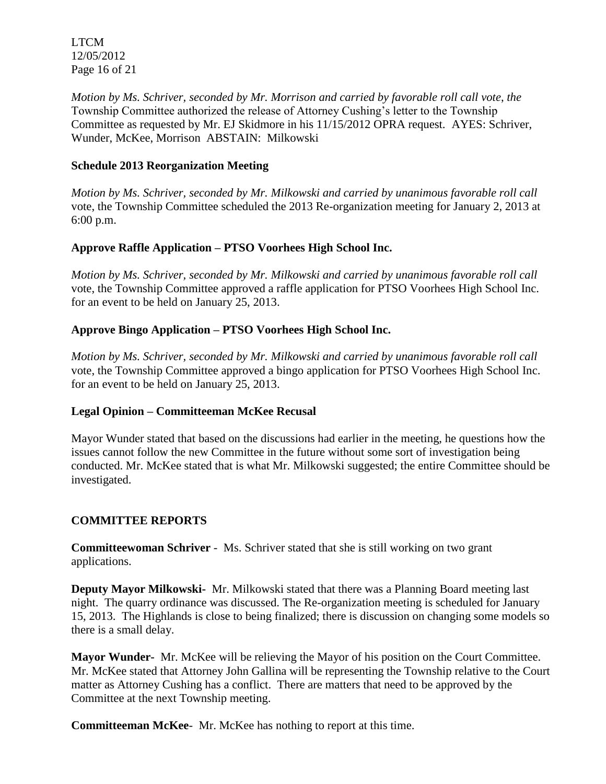LTCM 12/05/2012 Page 16 of 21

*Motion by Ms. Schriver, seconded by Mr. Morrison and carried by favorable roll call vote*, *the* Township Committee authorized the release of Attorney Cushing's letter to the Township Committee as requested by Mr. EJ Skidmore in his 11/15/2012 OPRA request. AYES: Schriver, Wunder, McKee, Morrison ABSTAIN: Milkowski

### **Schedule 2013 Reorganization Meeting**

*Motion by Ms. Schriver, seconded by Mr. Milkowski and carried by unanimous favorable roll call*  vote, the Township Committee scheduled the 2013 Re-organization meeting for January 2, 2013 at 6:00 p.m.

## **Approve Raffle Application – PTSO Voorhees High School Inc.**

*Motion by Ms. Schriver, seconded by Mr. Milkowski and carried by unanimous favorable roll call*  vote, the Township Committee approved a raffle application for PTSO Voorhees High School Inc. for an event to be held on January 25, 2013.

#### **Approve Bingo Application – PTSO Voorhees High School Inc.**

*Motion by Ms. Schriver, seconded by Mr. Milkowski and carried by unanimous favorable roll call*  vote, the Township Committee approved a bingo application for PTSO Voorhees High School Inc. for an event to be held on January 25, 2013.

#### **Legal Opinion – Committeeman McKee Recusal**

Mayor Wunder stated that based on the discussions had earlier in the meeting, he questions how the issues cannot follow the new Committee in the future without some sort of investigation being conducted. Mr. McKee stated that is what Mr. Milkowski suggested; the entire Committee should be investigated.

## **COMMITTEE REPORTS**

**Committeewoman Schriver** - Ms. Schriver stated that she is still working on two grant applications.

**Deputy Mayor Milkowski-** Mr. Milkowski stated that there was a Planning Board meeting last night. The quarry ordinance was discussed. The Re-organization meeting is scheduled for January 15, 2013. The Highlands is close to being finalized; there is discussion on changing some models so there is a small delay.

**Mayor Wunder-** Mr. McKee will be relieving the Mayor of his position on the Court Committee. Mr. McKee stated that Attorney John Gallina will be representing the Township relative to the Court matter as Attorney Cushing has a conflict. There are matters that need to be approved by the Committee at the next Township meeting.

**Committeeman McKee**- Mr. McKee has nothing to report at this time.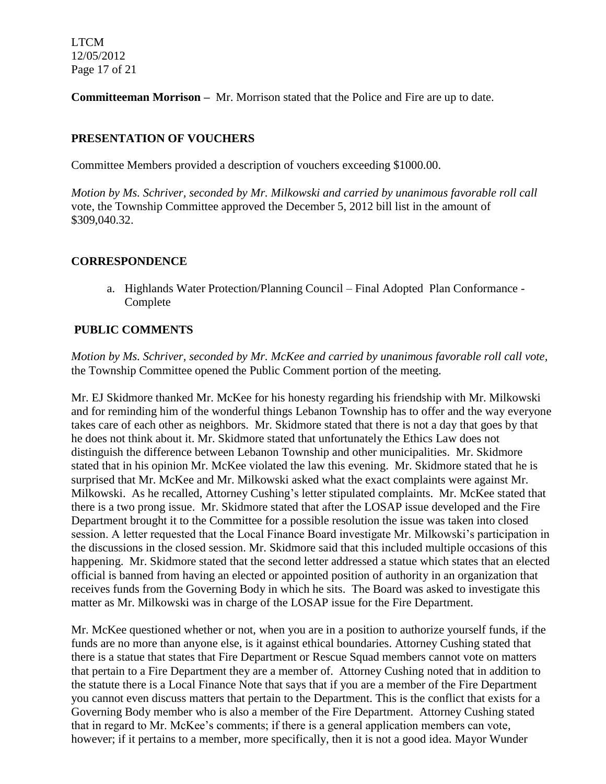LTCM 12/05/2012 Page 17 of 21

**Committeeman Morrison –** Mr. Morrison stated that the Police and Fire are up to date.

## **PRESENTATION OF VOUCHERS**

Committee Members provided a description of vouchers exceeding \$1000.00.

*Motion by Ms. Schriver, seconded by Mr. Milkowski and carried by unanimous favorable roll call*  vote, the Township Committee approved the December 5, 2012 bill list in the amount of \$309,040.32.

## **CORRESPONDENCE**

a. Highlands Water Protection/Planning Council – Final Adopted Plan Conformance - Complete

# **PUBLIC COMMENTS**

*Motion by Ms. Schriver, seconded by Mr. McKee and carried by unanimous favorable roll call vote,* the Township Committee opened the Public Comment portion of the meeting.

Mr. EJ Skidmore thanked Mr. McKee for his honesty regarding his friendship with Mr. Milkowski and for reminding him of the wonderful things Lebanon Township has to offer and the way everyone takes care of each other as neighbors. Mr. Skidmore stated that there is not a day that goes by that he does not think about it. Mr. Skidmore stated that unfortunately the Ethics Law does not distinguish the difference between Lebanon Township and other municipalities. Mr. Skidmore stated that in his opinion Mr. McKee violated the law this evening. Mr. Skidmore stated that he is surprised that Mr. McKee and Mr. Milkowski asked what the exact complaints were against Mr. Milkowski. As he recalled, Attorney Cushing's letter stipulated complaints. Mr. McKee stated that there is a two prong issue. Mr. Skidmore stated that after the LOSAP issue developed and the Fire Department brought it to the Committee for a possible resolution the issue was taken into closed session. A letter requested that the Local Finance Board investigate Mr. Milkowski's participation in the discussions in the closed session. Mr. Skidmore said that this included multiple occasions of this happening. Mr. Skidmore stated that the second letter addressed a statue which states that an elected official is banned from having an elected or appointed position of authority in an organization that receives funds from the Governing Body in which he sits. The Board was asked to investigate this matter as Mr. Milkowski was in charge of the LOSAP issue for the Fire Department.

Mr. McKee questioned whether or not, when you are in a position to authorize yourself funds, if the funds are no more than anyone else, is it against ethical boundaries. Attorney Cushing stated that there is a statue that states that Fire Department or Rescue Squad members cannot vote on matters that pertain to a Fire Department they are a member of. Attorney Cushing noted that in addition to the statute there is a Local Finance Note that says that if you are a member of the Fire Department you cannot even discuss matters that pertain to the Department. This is the conflict that exists for a Governing Body member who is also a member of the Fire Department. Attorney Cushing stated that in regard to Mr. McKee's comments; if there is a general application members can vote, however; if it pertains to a member, more specifically, then it is not a good idea. Mayor Wunder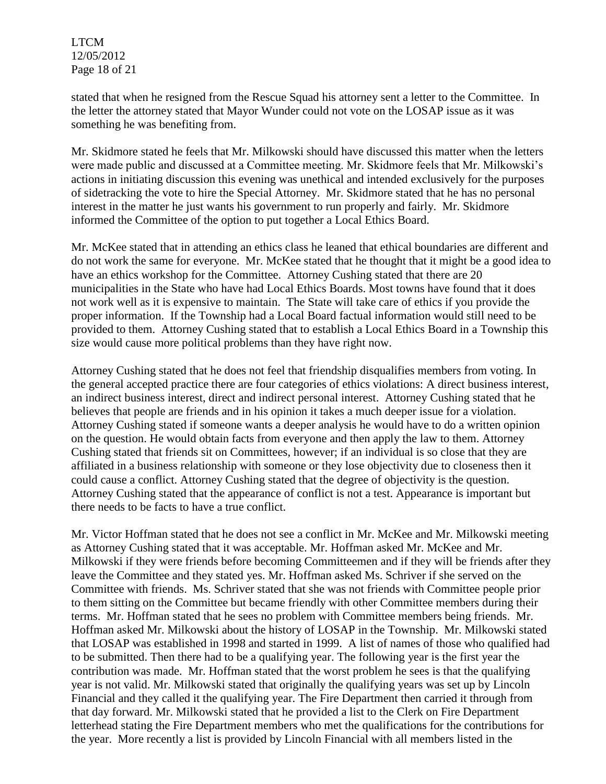LTCM 12/05/2012 Page 18 of 21

stated that when he resigned from the Rescue Squad his attorney sent a letter to the Committee. In the letter the attorney stated that Mayor Wunder could not vote on the LOSAP issue as it was something he was benefiting from.

Mr. Skidmore stated he feels that Mr. Milkowski should have discussed this matter when the letters were made public and discussed at a Committee meeting. Mr. Skidmore feels that Mr. Milkowski's actions in initiating discussion this evening was unethical and intended exclusively for the purposes of sidetracking the vote to hire the Special Attorney. Mr. Skidmore stated that he has no personal interest in the matter he just wants his government to run properly and fairly. Mr. Skidmore informed the Committee of the option to put together a Local Ethics Board.

Mr. McKee stated that in attending an ethics class he leaned that ethical boundaries are different and do not work the same for everyone. Mr. McKee stated that he thought that it might be a good idea to have an ethics workshop for the Committee. Attorney Cushing stated that there are 20 municipalities in the State who have had Local Ethics Boards. Most towns have found that it does not work well as it is expensive to maintain. The State will take care of ethics if you provide the proper information. If the Township had a Local Board factual information would still need to be provided to them. Attorney Cushing stated that to establish a Local Ethics Board in a Township this size would cause more political problems than they have right now.

Attorney Cushing stated that he does not feel that friendship disqualifies members from voting. In the general accepted practice there are four categories of ethics violations: A direct business interest, an indirect business interest, direct and indirect personal interest. Attorney Cushing stated that he believes that people are friends and in his opinion it takes a much deeper issue for a violation. Attorney Cushing stated if someone wants a deeper analysis he would have to do a written opinion on the question. He would obtain facts from everyone and then apply the law to them. Attorney Cushing stated that friends sit on Committees, however; if an individual is so close that they are affiliated in a business relationship with someone or they lose objectivity due to closeness then it could cause a conflict. Attorney Cushing stated that the degree of objectivity is the question. Attorney Cushing stated that the appearance of conflict is not a test. Appearance is important but there needs to be facts to have a true conflict.

Mr. Victor Hoffman stated that he does not see a conflict in Mr. McKee and Mr. Milkowski meeting as Attorney Cushing stated that it was acceptable. Mr. Hoffman asked Mr. McKee and Mr. Milkowski if they were friends before becoming Committeemen and if they will be friends after they leave the Committee and they stated yes. Mr. Hoffman asked Ms. Schriver if she served on the Committee with friends. Ms. Schriver stated that she was not friends with Committee people prior to them sitting on the Committee but became friendly with other Committee members during their terms. Mr. Hoffman stated that he sees no problem with Committee members being friends. Mr. Hoffman asked Mr. Milkowski about the history of LOSAP in the Township. Mr. Milkowski stated that LOSAP was established in 1998 and started in 1999. A list of names of those who qualified had to be submitted. Then there had to be a qualifying year. The following year is the first year the contribution was made. Mr. Hoffman stated that the worst problem he sees is that the qualifying year is not valid. Mr. Milkowski stated that originally the qualifying years was set up by Lincoln Financial and they called it the qualifying year. The Fire Department then carried it through from that day forward. Mr. Milkowski stated that he provided a list to the Clerk on Fire Department letterhead stating the Fire Department members who met the qualifications for the contributions for the year. More recently a list is provided by Lincoln Financial with all members listed in the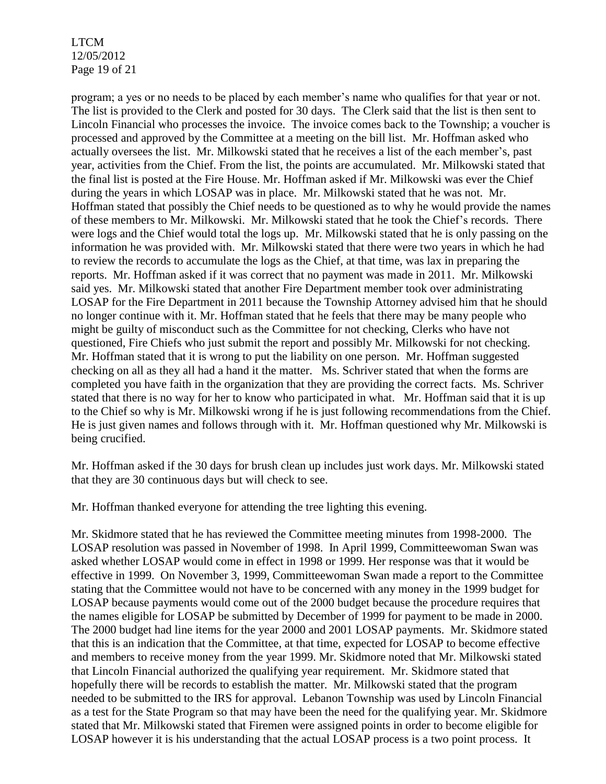LTCM 12/05/2012 Page 19 of 21

program; a yes or no needs to be placed by each member's name who qualifies for that year or not. The list is provided to the Clerk and posted for 30 days. The Clerk said that the list is then sent to Lincoln Financial who processes the invoice. The invoice comes back to the Township; a voucher is processed and approved by the Committee at a meeting on the bill list. Mr. Hoffman asked who actually oversees the list. Mr. Milkowski stated that he receives a list of the each member's, past year, activities from the Chief. From the list, the points are accumulated. Mr. Milkowski stated that the final list is posted at the Fire House. Mr. Hoffman asked if Mr. Milkowski was ever the Chief during the years in which LOSAP was in place. Mr. Milkowski stated that he was not. Mr. Hoffman stated that possibly the Chief needs to be questioned as to why he would provide the names of these members to Mr. Milkowski. Mr. Milkowski stated that he took the Chief's records. There were logs and the Chief would total the logs up. Mr. Milkowski stated that he is only passing on the information he was provided with. Mr. Milkowski stated that there were two years in which he had to review the records to accumulate the logs as the Chief, at that time, was lax in preparing the reports. Mr. Hoffman asked if it was correct that no payment was made in 2011. Mr. Milkowski said yes. Mr. Milkowski stated that another Fire Department member took over administrating LOSAP for the Fire Department in 2011 because the Township Attorney advised him that he should no longer continue with it. Mr. Hoffman stated that he feels that there may be many people who might be guilty of misconduct such as the Committee for not checking, Clerks who have not questioned, Fire Chiefs who just submit the report and possibly Mr. Milkowski for not checking. Mr. Hoffman stated that it is wrong to put the liability on one person. Mr. Hoffman suggested checking on all as they all had a hand it the matter. Ms. Schriver stated that when the forms are completed you have faith in the organization that they are providing the correct facts. Ms. Schriver stated that there is no way for her to know who participated in what. Mr. Hoffman said that it is up to the Chief so why is Mr. Milkowski wrong if he is just following recommendations from the Chief. He is just given names and follows through with it. Mr. Hoffman questioned why Mr. Milkowski is being crucified.

Mr. Hoffman asked if the 30 days for brush clean up includes just work days. Mr. Milkowski stated that they are 30 continuous days but will check to see.

Mr. Hoffman thanked everyone for attending the tree lighting this evening.

Mr. Skidmore stated that he has reviewed the Committee meeting minutes from 1998-2000. The LOSAP resolution was passed in November of 1998. In April 1999, Committeewoman Swan was asked whether LOSAP would come in effect in 1998 or 1999. Her response was that it would be effective in 1999. On November 3, 1999, Committeewoman Swan made a report to the Committee stating that the Committee would not have to be concerned with any money in the 1999 budget for LOSAP because payments would come out of the 2000 budget because the procedure requires that the names eligible for LOSAP be submitted by December of 1999 for payment to be made in 2000. The 2000 budget had line items for the year 2000 and 2001 LOSAP payments. Mr. Skidmore stated that this is an indication that the Committee, at that time, expected for LOSAP to become effective and members to receive money from the year 1999. Mr. Skidmore noted that Mr. Milkowski stated that Lincoln Financial authorized the qualifying year requirement. Mr. Skidmore stated that hopefully there will be records to establish the matter. Mr. Milkowski stated that the program needed to be submitted to the IRS for approval. Lebanon Township was used by Lincoln Financial as a test for the State Program so that may have been the need for the qualifying year. Mr. Skidmore stated that Mr. Milkowski stated that Firemen were assigned points in order to become eligible for LOSAP however it is his understanding that the actual LOSAP process is a two point process. It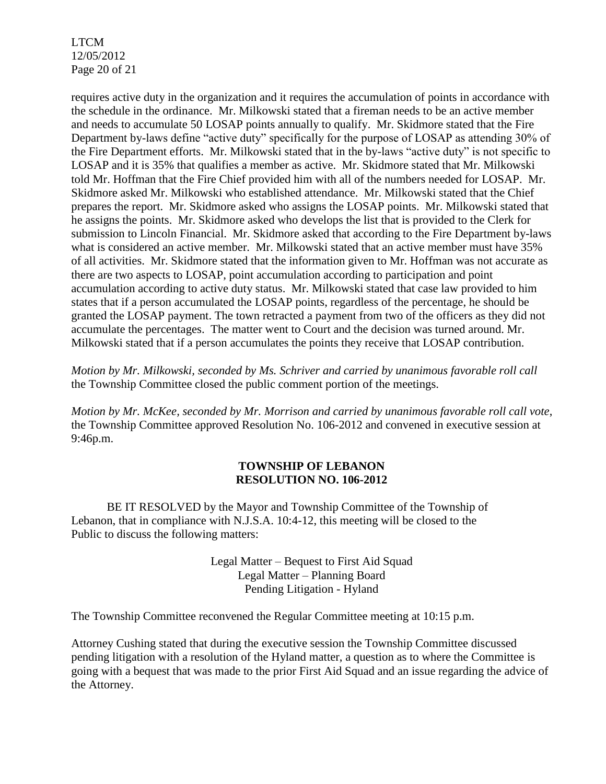LTCM 12/05/2012 Page 20 of 21

requires active duty in the organization and it requires the accumulation of points in accordance with the schedule in the ordinance. Mr. Milkowski stated that a fireman needs to be an active member and needs to accumulate 50 LOSAP points annually to qualify. Mr. Skidmore stated that the Fire Department by-laws define "active duty" specifically for the purpose of LOSAP as attending 30% of the Fire Department efforts. Mr. Milkowski stated that in the by-laws "active duty" is not specific to LOSAP and it is 35% that qualifies a member as active. Mr. Skidmore stated that Mr. Milkowski told Mr. Hoffman that the Fire Chief provided him with all of the numbers needed for LOSAP. Mr. Skidmore asked Mr. Milkowski who established attendance. Mr. Milkowski stated that the Chief prepares the report. Mr. Skidmore asked who assigns the LOSAP points. Mr. Milkowski stated that he assigns the points. Mr. Skidmore asked who develops the list that is provided to the Clerk for submission to Lincoln Financial. Mr. Skidmore asked that according to the Fire Department by-laws what is considered an active member. Mr. Milkowski stated that an active member must have 35% of all activities. Mr. Skidmore stated that the information given to Mr. Hoffman was not accurate as there are two aspects to LOSAP, point accumulation according to participation and point accumulation according to active duty status. Mr. Milkowski stated that case law provided to him states that if a person accumulated the LOSAP points, regardless of the percentage, he should be granted the LOSAP payment. The town retracted a payment from two of the officers as they did not accumulate the percentages. The matter went to Court and the decision was turned around. Mr. Milkowski stated that if a person accumulates the points they receive that LOSAP contribution.

*Motion by Mr. Milkowski, seconded by Ms. Schriver and carried by unanimous favorable roll call*  the Township Committee closed the public comment portion of the meetings.

*Motion by Mr. McKee, seconded by Mr. Morrison and carried by unanimous favorable roll call vote*, the Township Committee approved Resolution No. 106-2012 and convened in executive session at 9:46p.m.

#### **TOWNSHIP OF LEBANON RESOLUTION NO. 106-2012**

BE IT RESOLVED by the Mayor and Township Committee of the Township of Lebanon, that in compliance with N.J.S.A. 10:4-12, this meeting will be closed to the Public to discuss the following matters:

> Legal Matter – Bequest to First Aid Squad Legal Matter – Planning Board Pending Litigation - Hyland

The Township Committee reconvened the Regular Committee meeting at 10:15 p.m.

Attorney Cushing stated that during the executive session the Township Committee discussed pending litigation with a resolution of the Hyland matter, a question as to where the Committee is going with a bequest that was made to the prior First Aid Squad and an issue regarding the advice of the Attorney.